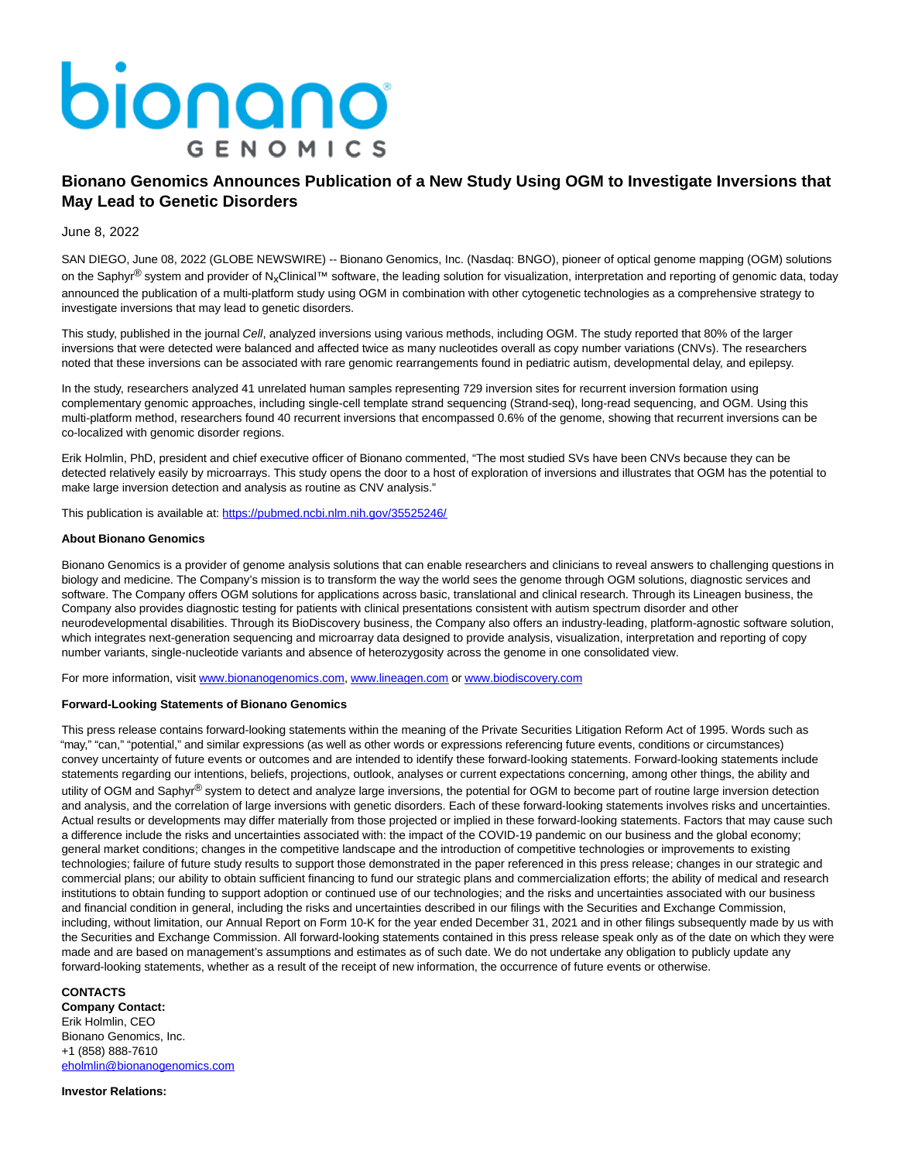# bionano **GENOMICS**

## **Bionano Genomics Announces Publication of a New Study Using OGM to Investigate Inversions that May Lead to Genetic Disorders**

### June 8, 2022

SAN DIEGO, June 08, 2022 (GLOBE NEWSWIRE) -- Bionano Genomics, Inc. (Nasdaq: BNGO), pioneer of optical genome mapping (OGM) solutions on the Saphyr<sup>®</sup> system and provider of N<sub>x</sub>Clinical™ software, the leading solution for visualization, interpretation and reporting of genomic data, today announced the publication of a multi-platform study using OGM in combination with other cytogenetic technologies as a comprehensive strategy to investigate inversions that may lead to genetic disorders.

This study, published in the journal Cell, analyzed inversions using various methods, including OGM. The study reported that 80% of the larger inversions that were detected were balanced and affected twice as many nucleotides overall as copy number variations (CNVs). The researchers noted that these inversions can be associated with rare genomic rearrangements found in pediatric autism, developmental delay, and epilepsy.

In the study, researchers analyzed 41 unrelated human samples representing 729 inversion sites for recurrent inversion formation using complementary genomic approaches, including single-cell template strand sequencing (Strand-seq), long-read sequencing, and OGM. Using this multi-platform method, researchers found 40 recurrent inversions that encompassed 0.6% of the genome, showing that recurrent inversions can be co-localized with genomic disorder regions.

Erik Holmlin, PhD, president and chief executive officer of Bionano commented, "The most studied SVs have been CNVs because they can be detected relatively easily by microarrays. This study opens the door to a host of exploration of inversions and illustrates that OGM has the potential to make large inversion detection and analysis as routine as CNV analysis."

This publication is available at: [https://pubmed.ncbi.nlm.nih.gov/35525246/](https://www.globenewswire.com/Tracker?data=vqExuzzkHR6F8fuOKyDVKM-Dri9uHIb3OqianMqNq1XPlZ9t7zAENDgtuzKRMbk8kkONoy2x01aaakERnMWjSlYbVS9gTGmzK-Guq6IYjze0FLvvH6rEMjaGnaqrfJV8k157IuBe6pm5U5eyxpW3gw==)

#### **About Bionano Genomics**

Bionano Genomics is a provider of genome analysis solutions that can enable researchers and clinicians to reveal answers to challenging questions in biology and medicine. The Company's mission is to transform the way the world sees the genome through OGM solutions, diagnostic services and software. The Company offers OGM solutions for applications across basic, translational and clinical research. Through its Lineagen business, the Company also provides diagnostic testing for patients with clinical presentations consistent with autism spectrum disorder and other neurodevelopmental disabilities. Through its BioDiscovery business, the Company also offers an industry-leading, platform-agnostic software solution, which integrates next-generation sequencing and microarray data designed to provide analysis, visualization, interpretation and reporting of copy number variants, single-nucleotide variants and absence of heterozygosity across the genome in one consolidated view.

For more information, visit [www.bionanogenomics.com,](https://www.globenewswire.com/Tracker?data=gEgNKLseF8bbbgd7Qgi9_oiBC6di7h8_39v-IpEt6ciNHMEozJSpPVmtPar6H-E1ntDi1r3KpDP48rQXWMVnpsQ1XPOjpPLZfR_pjbuEnRQ=) [www.lineagen.com o](https://www.globenewswire.com/Tracker?data=TV_v8UNh5otAX1gg3jkInM0lPmIljWBvggK-m2Bj0qEnBcngxR41QIQLiiPh5-wenw_QSmqo95GNHFrIUjtrNg==)[r www.biodiscovery.com](https://www.globenewswire.com/Tracker?data=gEgNKLseF8bbbgd7Qgi9_oEThkHse854CvIj0TR36sfZ7udBJASY_mEfF2N1begXqShrcmZwmd-4ZLgn29QxOmKsJPJHbD8e9YhYf_sdq5Y=)

#### **Forward-Looking Statements of Bionano Genomics**

This press release contains forward-looking statements within the meaning of the Private Securities Litigation Reform Act of 1995. Words such as "may," "can," "potential," and similar expressions (as well as other words or expressions referencing future events, conditions or circumstances) convey uncertainty of future events or outcomes and are intended to identify these forward-looking statements. Forward-looking statements include statements regarding our intentions, beliefs, projections, outlook, analyses or current expectations concerning, among other things, the ability and utility of OGM and Saphyr<sup>®</sup> system to detect and analyze large inversions, the potential for OGM to become part of routine large inversion detection and analysis, and the correlation of large inversions with genetic disorders. Each of these forward-looking statements involves risks and uncertainties. Actual results or developments may differ materially from those projected or implied in these forward-looking statements. Factors that may cause such a difference include the risks and uncertainties associated with: the impact of the COVID-19 pandemic on our business and the global economy; general market conditions; changes in the competitive landscape and the introduction of competitive technologies or improvements to existing technologies; failure of future study results to support those demonstrated in the paper referenced in this press release; changes in our strategic and commercial plans; our ability to obtain sufficient financing to fund our strategic plans and commercialization efforts; the ability of medical and research institutions to obtain funding to support adoption or continued use of our technologies; and the risks and uncertainties associated with our business and financial condition in general, including the risks and uncertainties described in our filings with the Securities and Exchange Commission, including, without limitation, our Annual Report on Form 10-K for the year ended December 31, 2021 and in other filings subsequently made by us with the Securities and Exchange Commission. All forward-looking statements contained in this press release speak only as of the date on which they were made and are based on management's assumptions and estimates as of such date. We do not undertake any obligation to publicly update any forward-looking statements, whether as a result of the receipt of new information, the occurrence of future events or otherwise.

#### **CONTACTS**

**Company Contact:** Erik Holmlin, CEO Bionano Genomics, Inc. +1 (858) 888-7610 [eholmlin@bionanogenomics.com](https://www.globenewswire.com/Tracker?data=uHgOObhs7IZohWMF3J2YzBd8qXCMBTE1QkD_ZHeOKZG_VVARDiVTFgpV7uwFM7R7nfYylLxMIy2YImznwrZsOUlcpp1MN81kCvP8RvaJXzHA0epbK1wuJl9pdG8vMcbW)

**Investor Relations:**